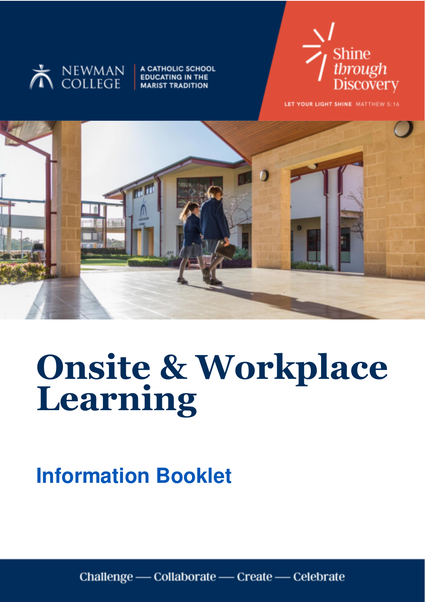

A CATHOLIC SCHOOL **EDUCATING IN THE MARIST TRADITION** 



LET YOUR LIGHT SHINE MATTHEW 5:16



# **Onsite & Workplace Learning**

## **Information Booklet**

Challenge — Collaborate — Create — Celebrate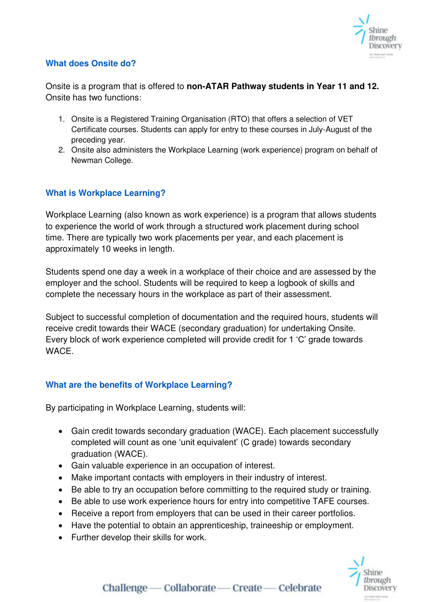

#### **What does Onsite do?**

Onsite is a program that is offered to **non-ATAR Pathway students in Year 11 and 12.**  Onsite has two functions:

- 1. Onsite is a Registered Training Organisation (RTO) that offers a selection of VET Certificate courses. Students can apply for entry to these courses in July-August of the preceding year.
- 2. Onsite also administers the Workplace Learning (work experience) program on behalf of Newman College.

#### **What is Workplace Learning?**

Workplace Learning (also known as work experience) is a program that allows students to experience the world of work through a structured work placement during school time. There are typically two work placements per year, and each placement is approximately 10 weeks in length.

Students spend one day a week in a workplace of their choice and are assessed by the employer and the school. Students will be required to keep a logbook of skills and complete the necessary hours in the workplace as part of their assessment.

Subject to successful completion of documentation and the required hours, students will receive credit towards their WACE (secondary graduation) for undertaking Onsite. Every block of work experience completed will provide credit for 1 'C' grade towards WACE.

#### **What are the benefits of Workplace Learning?**

By participating in Workplace Learning, students will:

- Gain credit towards secondary graduation (WACE). Each placement successfully completed will count as one 'unit equivalent' (C grade) towards secondary graduation (WACE).
- Gain valuable experience in an occupation of interest.
- Make important contacts with employers in their industry of interest.
- Be able to try an occupation before committing to the required study or training.
- Be able to use work experience hours for entry into competitive TAFE courses.
- Receive a report from employers that can be used in their career portfolios.
- Have the potential to obtain an apprenticeship, traineeship or employment.
- Further develop their skills for work.

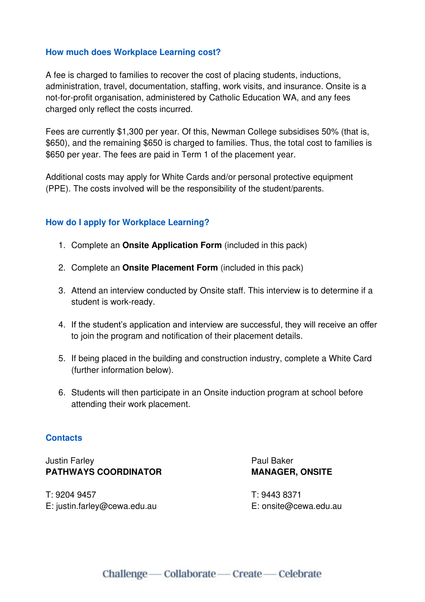#### **How much does Workplace Learning cost?**

A fee is charged to families to recover the cost of placing students, inductions, administration, travel, documentation, staffing, work visits, and insurance. Onsite is a not-for-profit organisation, administered by Catholic Education WA, and any fees charged only reflect the costs incurred.

Fees are currently \$1,300 per year. Of this, Newman College subsidises 50% (that is, \$650), and the remaining \$650 is charged to families. Thus, the total cost to families is \$650 per year. The fees are paid in Term 1 of the placement year.

Additional costs may apply for White Cards and/or personal protective equipment (PPE). The costs involved will be the responsibility of the student/parents.

#### **How do I apply for Workplace Learning?**

- 1. Complete an **Onsite Application Form** (included in this pack)
- 2. Complete an **Onsite Placement Form** (included in this pack)
- 3. Attend an interview conducted by Onsite staff. This interview is to determine if a student is work-ready.
- 4. If the student's application and interview are successful, they will receive an offer to join the program and notification of their placement details.
- 5. If being placed in the building and construction industry, complete a White Card (further information below).
- 6. Students will then participate in an Onsite induction program at school before attending their work placement.

#### **Contacts**

Justin FarleyPaul Baker **PATHWAYS COORDINATOR MANAGER, ONSITE** 

T: 9204 9457 T: 9443 8371 E: justin.farley@cewa.edu.au E: onsite@cewa.edu.au E: iustin.farley@cewa.edu.au

Challenge - Collaborate - Create - Celebrate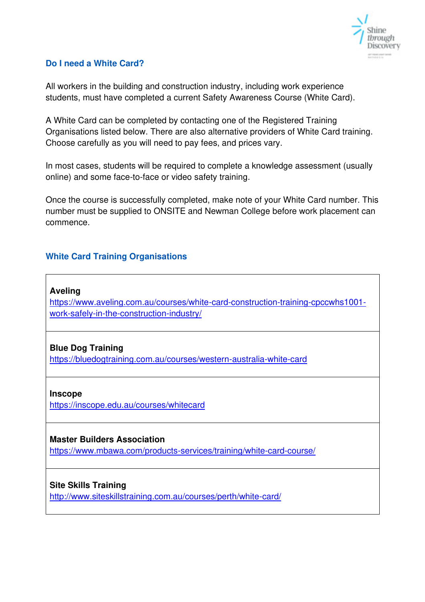

#### **Do I need a White Card?**

All workers in the building and construction industry, including work experience students, must have completed a current Safety Awareness Course (White Card).

A White Card can be completed by contacting one of the Registered Training Organisations listed below. There are also alternative providers of White Card training. Choose carefully as you will need to pay fees, and prices vary.

In most cases, students will be required to complete a knowledge assessment (usually online) and some face-to-face or video safety training.

Once the course is successfully completed, make note of your White Card number. This number must be supplied to ONSITE and Newman College before work placement can commence.

#### **White Card Training Organisations**

#### **Aveling**

[https://www.aveling.com.au/courses/white-card-construction-training-cpccwhs1001](https://www.aveling.com.au/courses/white-card-construction-training-cpccwhs1001-work-safely-in-the-construction-industry/) [work-safely-in-the-construction-industry/](https://www.aveling.com.au/courses/white-card-construction-training-cpccwhs1001-work-safely-in-the-construction-industry/)

#### **Blue Dog Training**

<https://bluedogtraining.com.au/courses/western-australia-white-card>

#### **Inscope**

<https://inscope.edu.au/courses/whitecard>

#### **Master Builders Association**

<https://www.mbawa.com/products-services/training/white-card-course/>

#### **Site Skills Training**

<http://www.siteskillstraining.com.au/courses/perth/white-card/>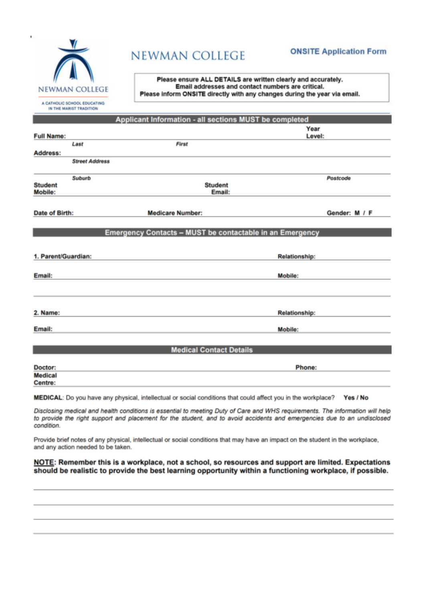

#### **NEWMAN COLLEGE**

Please ensure ALL DETAILS are written clearly and accurately. Email addresses and contact numbers are critical.

IN THE MARIST TRADITION

| <b>PURSI RANIA ROSA RUM ANURAI UNURAL S RIA ALEMAN</b>                    |  |  |  |
|---------------------------------------------------------------------------|--|--|--|
| Please inform ONSITE directly with any changes during the year via email. |  |  |  |

|                     | Applicant Information - all sections MUST be completed |                                                          |                      |  |  |  |  |
|---------------------|--------------------------------------------------------|----------------------------------------------------------|----------------------|--|--|--|--|
| Year                |                                                        |                                                          |                      |  |  |  |  |
| <b>Full Name:</b>   |                                                        |                                                          | Level:               |  |  |  |  |
|                     | Last                                                   | First                                                    |                      |  |  |  |  |
| Address:            |                                                        |                                                          |                      |  |  |  |  |
|                     | <b>Street Address</b>                                  |                                                          |                      |  |  |  |  |
|                     | Suburb                                                 |                                                          | Postcode             |  |  |  |  |
| <b>Student</b>      |                                                        | <b>Student</b>                                           |                      |  |  |  |  |
| Mobile:             |                                                        | Email:                                                   |                      |  |  |  |  |
|                     |                                                        |                                                          |                      |  |  |  |  |
| Date of Birth:      |                                                        | <b>Medicare Number:</b>                                  | Gender: M / F        |  |  |  |  |
|                     |                                                        |                                                          |                      |  |  |  |  |
|                     |                                                        | Emergency Contacts - MUST be contactable in an Emergency |                      |  |  |  |  |
|                     |                                                        |                                                          |                      |  |  |  |  |
|                     |                                                        |                                                          |                      |  |  |  |  |
| 1. Parent/Guardian: |                                                        |                                                          | <b>Relationship:</b> |  |  |  |  |
|                     |                                                        |                                                          |                      |  |  |  |  |
| Email:              |                                                        |                                                          | Mobile:              |  |  |  |  |
|                     |                                                        |                                                          |                      |  |  |  |  |
|                     |                                                        |                                                          |                      |  |  |  |  |
|                     |                                                        |                                                          |                      |  |  |  |  |
| 2. Name:            |                                                        |                                                          | <b>Relationship:</b> |  |  |  |  |
|                     |                                                        |                                                          |                      |  |  |  |  |
| Email:              |                                                        |                                                          | Mobile:              |  |  |  |  |
|                     |                                                        |                                                          |                      |  |  |  |  |
|                     |                                                        | <b>Medical Contact Details</b>                           |                      |  |  |  |  |
|                     |                                                        |                                                          |                      |  |  |  |  |
| Doctor:             |                                                        |                                                          | Phone:               |  |  |  |  |
|                     |                                                        |                                                          |                      |  |  |  |  |

**Medical** Centre:

MEDICAL: Do you have any physical, intellectual or social conditions that could affect you in the workplace? Yes / No

Disclosing medical and health conditions is essential to meeting Duty of Care and WHS requirements. The information will help to provide the right support and placement for the student, and to avoid accidents and emergencies due to an undisclosed condition.

Provide brief notes of any physical, intellectual or social conditions that may have an impact on the student in the workplace, and any action needed to be taken.

NOTE: Remember this is a workplace, not a school, so resources and support are limited. Expectations should be realistic to provide the best learning opportunity within a functioning workplace, if possible.

#### **ONSITE Application Form**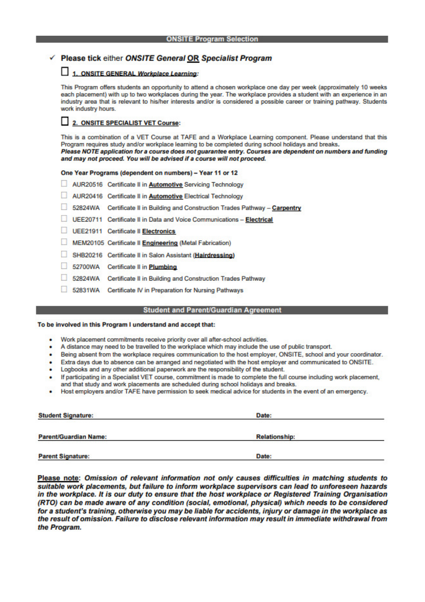#### ← Please tick either ONSITE General OR Specialist Program

#### 1. ONSITE GENERAL Workplace Learning:

This Program offers students an opportunity to attend a chosen workplace one day per week (approximately 10 weeks each placement) with up to two workplaces during the year. The workplace provides a student with an experience in an industry area that is relevant to his/her interests and/or is considered a possible career or training pathway. Students work industry hours.

#### 2. ONSITE SPECIALIST VET Course:

This is a combination of a VET Course at TAFE and a Workplace Learning component. Please understand that this Program requires study and/or workplace learning to be completed during school holidays and breaks. Please NOTE application for a course does not guarantee entry. Courses are dependent on numbers and funding and may not proceed. You will be advised if a course will not proceed.

#### One Year Programs (dependent on numbers) - Year 11 or 12

- AUR20516 Certificate II in Automotive Servicing Technology
- AUR20416 Certificate II in Automotive Electrical Technology
- 52824WA Certificate II in Building and Construction Trades Pathway Carpentry
- UEE20711 Certificate II in Data and Voice Communications Electrical
- UEE21911 Certificate Il Electronics
- MEM20105 Certificate II Engineering (Metal Fabrication)
- SHB20216 Certificate II in Salon Assistant (Hairdressing)
- 52700WA Certificate II in Plumbing
- 52824WA Certificate II in Building and Construction Trades Pathway
- 52831WA Certificate IV in Preparation for Nursing Pathways

#### **Student and Parent/Guardian Agreement**

#### To be involved in this Program I understand and accept that:

- Work placement commitments receive priority over all after-school activities.
- A distance may need to be travelled to the workplace which may include the use of public transport.
- Being absent from the workplace requires communication to the host employer, ONSITE, school and your coordinator.
- Extra days due to absence can be arranged and negotiated with the host employer and communicated to ONSITE.
- Logbooks and any other additional paperwork are the responsibility of the student.
- If participating in a Specialist VET course, commitment is made to complete the full course including work placement, and that study and work placements are scheduled during school holidays and breaks.
- Host employers and/or TAFE have permission to seek medical advice for students in the event of an emergency.

| <b>Student Signature:</b>    | Date:                |  |
|------------------------------|----------------------|--|
| <b>Parent/Guardian Name:</b> | <b>Relationship:</b> |  |
| <b>Parent Signature:</b>     | Date:                |  |

Please note: Omission of relevant information not only causes difficulties in matching students to suitable work placements, but failure to inform workplace supervisors can lead to unforeseen hazards in the workplace. It is our duty to ensure that the host workplace or Registered Training Organisation (RTO) can be made aware of any condition (social, emotional, physical) which needs to be considered for a student's training, otherwise you may be liable for accidents, injury or damage in the workplace as the result of omission. Failure to disclose relevant information may result in immediate withdrawal from the Program.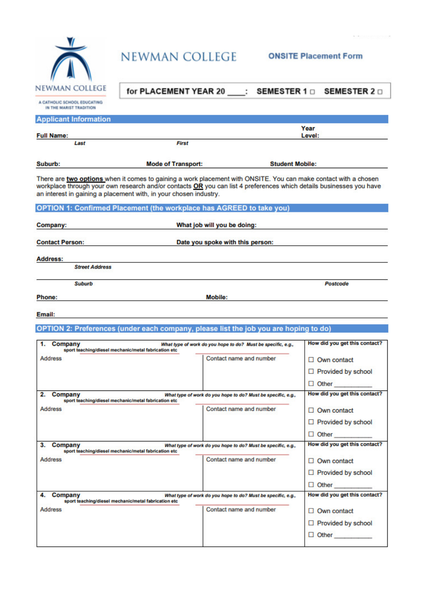### NEWMAN COLLEGE ONSITE Placement Form

#### for PLACEMENT YEAR 20 \_\_\_: SEMESTER 1 □ SEMESTER 2 □

|  |  |  | A CATHOLIC SCHOOL EDUCATING |  |
|--|--|--|-----------------------------|--|
|  |  |  | IN THE MARIST TRADITION     |  |

| <b>Full Name:</b>      |                                                                                      | Year<br>Level:                                                                                                                                                                                                                         |
|------------------------|--------------------------------------------------------------------------------------|----------------------------------------------------------------------------------------------------------------------------------------------------------------------------------------------------------------------------------------|
| Last                   | First                                                                                |                                                                                                                                                                                                                                        |
| Suburb:                | <b>Mode of Transport:</b>                                                            | <b>Student Mobile:</b>                                                                                                                                                                                                                 |
|                        | an interest in gaining a placement with, in your chosen industry.                    | There are two options when it comes to gaining a work placement with ONSITE. You can make contact with a chosen<br>workplace through your own research and/or contacts OR you can list 4 preferences which details businesses you have |
|                        | <b>OPTION 1: Confirmed Placement (the workplace has AGREED to take you)</b>          |                                                                                                                                                                                                                                        |
| Company:               | What job will you be doing:                                                          |                                                                                                                                                                                                                                        |
| <b>Contact Person:</b> | Date you spoke with this person:                                                     |                                                                                                                                                                                                                                        |
| <b>Address:</b>        |                                                                                      |                                                                                                                                                                                                                                        |
| <b>Street Address</b>  |                                                                                      |                                                                                                                                                                                                                                        |
| <b>Suburb</b>          |                                                                                      | Postcode                                                                                                                                                                                                                               |
| Phone:                 | Mobile:                                                                              |                                                                                                                                                                                                                                        |
| Email:                 |                                                                                      |                                                                                                                                                                                                                                        |
|                        | OPTION 2: Preferences (under each company, please list the job you are hoping to do) |                                                                                                                                                                                                                                        |
| Company<br>1.          | What type of work do you hope to do? Must be specific, e.g.,                         | How did you get this contact?                                                                                                                                                                                                          |

| sport teaching/diesel mechanic/metal fabrication etc.                 |                                                              |                                                                 |
|-----------------------------------------------------------------------|--------------------------------------------------------------|-----------------------------------------------------------------|
| <b>Address</b>                                                        | Contact name and number                                      | Own contact<br>. .<br>$\Box$ Provided by school<br>$\Box$ Other |
| 2.<br>Company<br>sport teaching/diesel mechanic/metal fabrication etc | What type of work do you hope to do? Must be specific, e.g., | How did you get this contact?                                   |
| <b>Address</b>                                                        | Contact name and number                                      | Own contact<br>п<br>$\Box$ Provided by school<br>$\Box$ Other   |
| З.<br>Company<br>sport teaching/diesel mechanic/metal fabrication etc | What type of work do you hope to do? Must be specific, e.g., | How did you get this contact?                                   |
| <b>Address</b>                                                        | Contact name and number                                      | $\Box$ Own contact<br>$\Box$ Provided by school<br>Other<br>П   |
| Company<br>4.<br>sport teaching/diesel mechanic/metal fabrication etc | What type of work do you hope to do? Must be specific, e.g., | How did you get this contact?                                   |
| <b>Address</b>                                                        | Contact name and number                                      | Own contact<br>п<br>$\Box$ Provided by school<br>п<br>Other     |